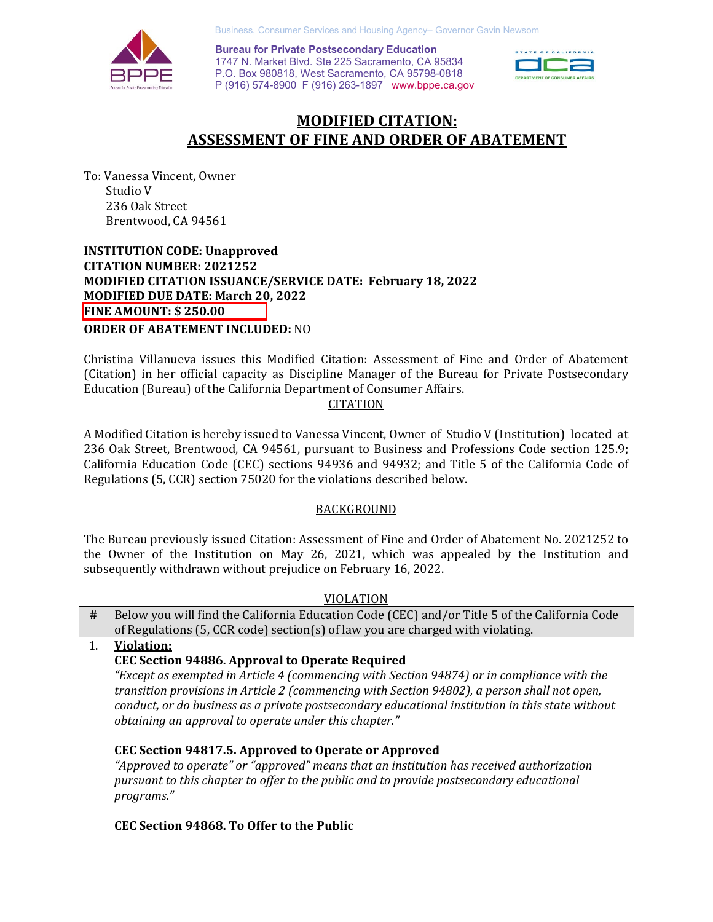Business, Consumer Services and Housing Agency– Governor Gavin Newsom



 P (916) 574-8900 F (916) 263-1897 <www.bppe.ca.gov> **Bureau for Private Postsecondary Education**  1747 N. Market Blvd. Ste 225 Sacramento, CA 95834 P.O. Box 980818, West Sacramento, CA 95798-0818



# **MODIFIED CITATION: ASSESSMENT OF FINE AND ORDER OF ABATEMENT**

 To: Vanessa Vincent, Owner Studio V 236 Oak Street Brentwood, CA 94561

 **MODIFIED CITATION ISSUANCE/SERVICE DATE: February 18, 2022 MODIFIED DUE DATE: March 20, 2022 INSTITUTION CODE: Unapproved CITATION NUMBER: 2021252 FINE AMOUNT: \$ 250.00 ORDER OF ABATEMENT INCLUDED:** NO

 (Citation) in her official capacity as Discipline Manager of the Bureau for Private Postsecondary Education (Bureau) of the California Department of Consumer Affairs. Christina Villanueva issues this Modified Citation: Assessment of Fine and Order of Abatement

## **CITATION**

 A Modified Citation is hereby issued to Vanessa Vincent, Owner of Studio V (Institution) located at 236 Oak Street, Brentwood, CA 94561, pursuant to Business and Professions Code section 125.9; California Education Code (CEC) sections 94936 and 94932; and Title 5 of the California Code of Regulations (5, CCR) section 75020 for the violations described below.

## BACKGROUND

 The Bureau previously issued Citation: Assessment of Fine and Order of Abatement No. 2021252 to the Owner of the Institution on May 26, 2021, which was appealed by the Institution and subsequently withdrawn without prejudice on February 16, 2022.

| VIULATIUI |                                                                                                                                                                                                                                                           |
|-----------|-----------------------------------------------------------------------------------------------------------------------------------------------------------------------------------------------------------------------------------------------------------|
| #         | Below you will find the California Education Code (CEC) and/or Title 5 of the California Code                                                                                                                                                             |
|           | of Regulations (5, CCR code) section(s) of law you are charged with violating.                                                                                                                                                                            |
| 1.        | <b>Violation:</b>                                                                                                                                                                                                                                         |
|           | <b>CEC Section 94886. Approval to Operate Required</b>                                                                                                                                                                                                    |
|           | "Except as exempted in Article 4 (commencing with Section 94874) or in compliance with the                                                                                                                                                                |
|           | transition provisions in Article 2 (commencing with Section 94802), a person shall not open,<br>conduct, or do business as a private postsecondary educational institution in this state without<br>obtaining an approval to operate under this chapter." |
|           | CEC Section 94817.5. Approved to Operate or Approved                                                                                                                                                                                                      |
|           | "Approved to operate" or "approved" means that an institution has received authorization<br>pursuant to this chapter to offer to the public and to provide postsecondary educational<br>programs."                                                        |
|           | CEC Section 94868. To Offer to the Public                                                                                                                                                                                                                 |

#### VIOL ATION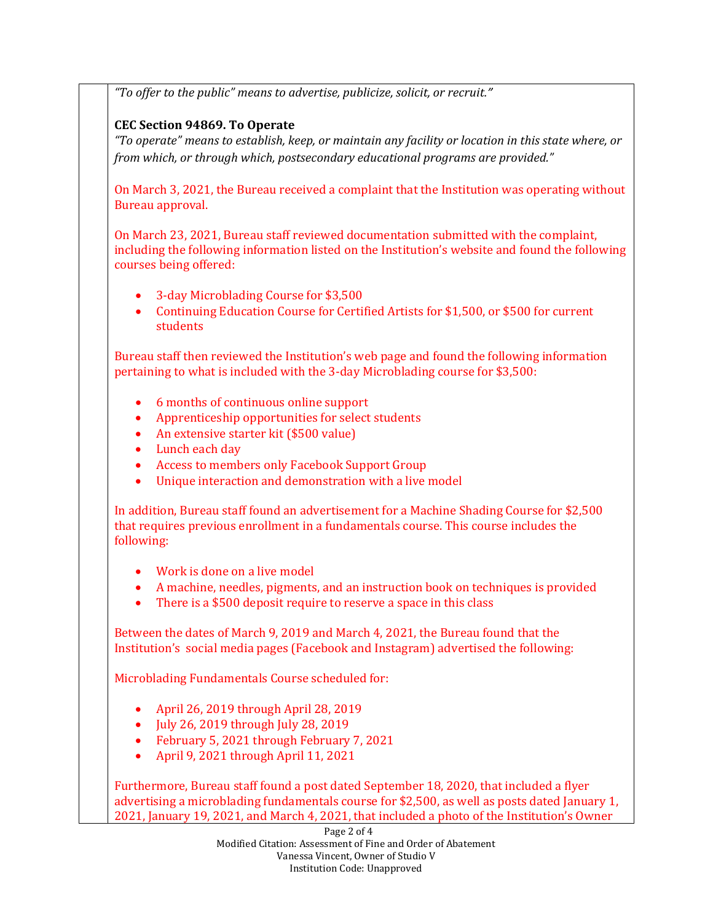*"To offer to the public" means to advertise, publicize, solicit, or recruit."* 

# **CEC Section 94869. To Operate**

 *"To operate" means to establish, keep, or maintain any facility or location in this state where, or from which, or through which, postsecondary educational programs are provided."* 

 On March 3, 2021, the Bureau received a complaint that the Institution was operating without Bureau approval.

Bureau approval.<br>On March 23, 2021, Bureau staff reviewed documentation submitted with the complaint, including the following information listed on the Institution's website and found the following courses being offered:

- 3-day Microblading Course for \$3,500
- • Continuing Education Course for Certified Artists for \$1,500, or \$500 for current students

 Bureau staff then reviewed the Institution's web page and found the following information pertaining to what is included with the 3-day Microblading course for \$3,500:

- 6 months of continuous online support
- Apprenticeship opportunities for select students
- An extensive starter kit (\$500 value)
- Lunch each day
- Access to members only Facebook Support Group
- Unique interaction and demonstration with a live model

 In addition, Bureau staff found an advertisement for a Machine Shading Course for \$2,500 that requires previous enrollment in a fundamentals course. This course includes the following:

- Work is done on a live model
- A machine, needles, pigments, and an instruction book on techniques is provided
- There is a \$500 deposit require to reserve a space in this class

 Between the dates of March 9, 2019 and March 4, 2021, the Bureau found that the Institution's social media pages (Facebook and Instagram) advertised the following:

Microblading Fundamentals Course scheduled for:

- April 26, 2019 through April 28, 2019
- July 26, 2019 through July 28, 2019
- February 5, 2021 through February 7, 2021
- April 9, 2021 through April 11, 2021

 Furthermore, Bureau staff found a post dated September 18, 2020, that included a flyer advertising a microblading fundamentals course for \$2,500, as well as posts dated January 1, 2021, January 19, 2021, and March 4, 2021, that included a photo of the Institution's Owner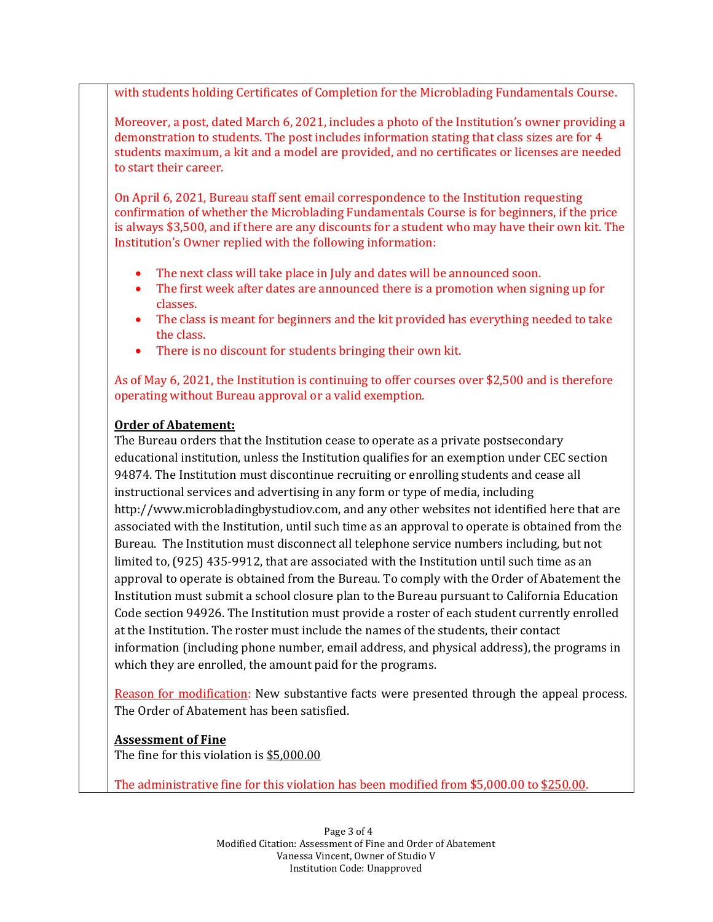with students holding Certificates of Completion for the Microblading Fundamentals Course.

 Moreover, a post, dated March 6, 2021, includes a photo of the Institution's owner providing a demonstration to students. The post includes information stating that class sizes are for 4 students maximum, a kit and a model are provided, and no certificates or licenses are needed to start their career.

 On April 6, 2021, Bureau staff sent email correspondence to the Institution requesting confirmation of whether the Microblading Fundamentals Course is for beginners, if the price is always \$3,500, and if there are any discounts for a student who may have their own kit. The Institution's Owner replied with the following information:

- The next class will take place in July and dates will be announced soon.
- • The first week after dates are announced there is a promotion when signing up for classes.
- • The class is meant for beginners and the kit provided has everything needed to take the class.
- There is no discount for students bringing their own kit.

 As of May 6, 2021, the Institution is continuing to offer courses over \$2,500 and is therefore operating without Bureau approval or a valid exemption.

# **Order of Abatement:**

 The Bureau orders that the Institution cease to operate as a private postsecondary educational institution, unless the Institution qualifies for an exemption under CEC section 94874. The Institution must discontinue recruiting or enrolling students and cease all instructional services and advertising in any form or type of media, including [http://www.microbladingbystudiov.com,](http://www.microbladingbystudiov.com) and any other websites not identified here that are associated with the Institution, until such time as an approval to operate is obtained from the Bureau. The Institution must disconnect all telephone service numbers including, but not limited to, (925) 435-9912, that are associated with the Institution until such time as an approval to operate is obtained from the Bureau. To comply with the Order of Abatement the Institution must submit a school closure plan to the Bureau pursuant to California Education Code section 94926. The Institution must provide a roster of each student currently enrolled at the Institution. The roster must include the names of the students, their contact information (including phone number, email address, and physical address), the programs in which they are enrolled, the amount paid for the programs.

 The Order of Abatement has been satisfied. Reason for modification: New substantive facts were presented through the appeal process.

# **Assessment of Fine**

The fine for this violation is <u>\$5,000.00</u>

The administrative fine for this violation has been modified from \$[5,000.00](https://5,000.00) to <u>\$250.00</u>.